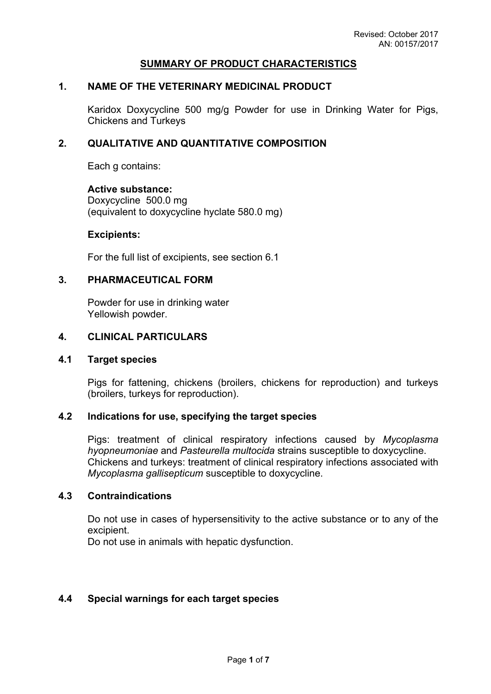### **SUMMARY OF PRODUCT CHARACTERISTICS**

## **1. NAME OF THE VETERINARY MEDICINAL PRODUCT**

Karidox Doxycycline 500 mg/g Powder for use in Drinking Water for Pigs, Chickens and Turkeys

### **2. QUALITATIVE AND QUANTITATIVE COMPOSITION**

Each g contains:

**Active substance:** Doxycycline 500.0 mg (equivalent to doxycycline hyclate 580.0 mg)

#### **Excipients:**

For the full list of excipients, see section 6.1

#### **3. PHARMACEUTICAL FORM**

Powder for use in drinking water Yellowish powder.

#### **4. CLINICAL PARTICULARS**

#### **4.1 Target species**

Pigs for fattening, chickens (broilers, chickens for reproduction) and turkeys (broilers, turkeys for reproduction).

### **4.2 Indications for use, specifying the target species**

Pigs: treatment of clinical respiratory infections caused by *Mycoplasma hyopneumoniae* and *Pasteurella multocida* strains susceptible to doxycycline. Chickens and turkeys: treatment of clinical respiratory infections associated with *Mycoplasma gallisepticum* susceptible to doxycycline.

### **4.3 Contraindications**

Do not use in cases of hypersensitivity to the active substance or to any of the excipient.

Do not use in animals with hepatic dysfunction.

#### **4.4 Special warnings for each target species**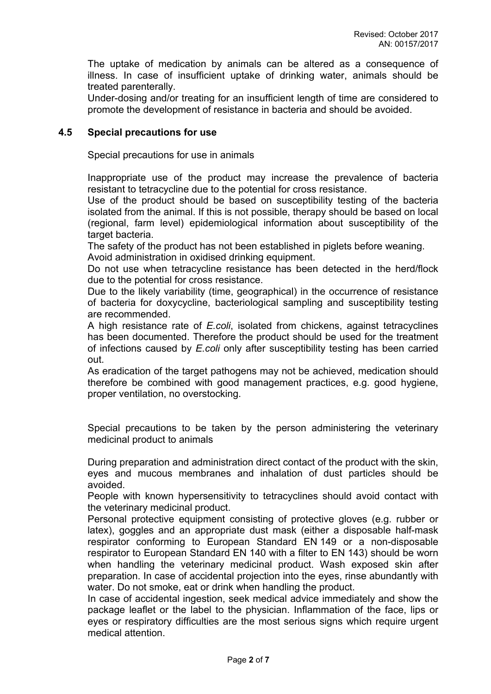The uptake of medication by animals can be altered as a consequence of illness. In case of insufficient uptake of drinking water, animals should be treated parenterally.

Under-dosing and/or treating for an insufficient length of time are considered to promote the development of resistance in bacteria and should be avoided.

### **4.5 Special precautions for use**

Special precautions for use in animals

Inappropriate use of the product may increase the prevalence of bacteria resistant to tetracycline due to the potential for cross resistance.

Use of the product should be based on susceptibility testing of the bacteria isolated from the animal. If this is not possible, therapy should be based on local (regional, farm level) epidemiological information about susceptibility of the target bacteria.

The safety of the product has not been established in piglets before weaning. Avoid administration in oxidised drinking equipment.

Do not use when tetracycline resistance has been detected in the herd/flock due to the potential for cross resistance.

Due to the likely variability (time, geographical) in the occurrence of resistance of bacteria for doxycycline, bacteriological sampling and susceptibility testing are recommended.

A high resistance rate of *E.coli*, isolated from chickens, against tetracyclines has been documented. Therefore the product should be used for the treatment of infections caused by *E.coli* only after susceptibility testing has been carried out.

As eradication of the target pathogens may not be achieved, medication should therefore be combined with good management practices, e.g. good hygiene, proper ventilation, no overstocking.

Special precautions to be taken by the person administering the veterinary medicinal product to animals

During preparation and administration direct contact of the product with the skin, eyes and mucous membranes and inhalation of dust particles should be avoided.

People with known hypersensitivity to tetracyclines should avoid contact with the veterinary medicinal product.

Personal protective equipment consisting of protective gloves (e.g. rubber or latex), goggles and an appropriate dust mask (either a disposable half-mask respirator conforming to European Standard EN 149 or a non-disposable respirator to European Standard EN 140 with a filter to EN 143) should be worn when handling the veterinary medicinal product. Wash exposed skin after preparation. In case of accidental projection into the eyes, rinse abundantly with water. Do not smoke, eat or drink when handling the product.

In case of accidental ingestion, seek medical advice immediately and show the package leaflet or the label to the physician. Inflammation of the face, lips or eyes or respiratory difficulties are the most serious signs which require urgent medical attention.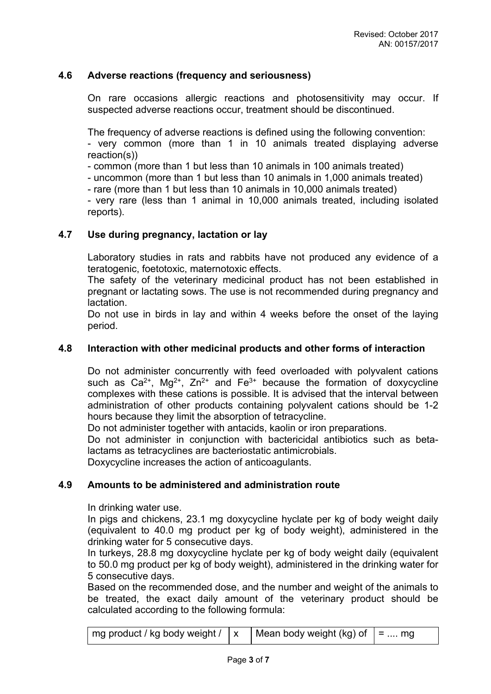### **4.6 Adverse reactions (frequency and seriousness)**

On rare occasions allergic reactions and photosensitivity may occur. If suspected adverse reactions occur, treatment should be discontinued.

The frequency of adverse reactions is defined using the following convention:

- very common (more than 1 in 10 animals treated displaying adverse reaction(s))

- common (more than 1 but less than 10 animals in 100 animals treated)

- uncommon (more than 1 but less than 10 animals in 1,000 animals treated)

- rare (more than 1 but less than 10 animals in 10,000 animals treated)

- very rare (less than 1 animal in 10,000 animals treated, including isolated reports).

### **4.7 Use during pregnancy, lactation or lay**

Laboratory studies in rats and rabbits have not produced any evidence of a teratogenic, foetotoxic, maternotoxic effects.

The safety of the veterinary medicinal product has not been established in pregnant or lactating sows. The use is not recommended during pregnancy and lactation.

Do not use in birds in lay and within 4 weeks before the onset of the laying period.

### **4.8 Interaction with other medicinal products and other forms of interaction**

Do not administer concurrently with feed overloaded with polyvalent cations such as  $Ca^{2+}$ , Mg<sup>2+</sup>, Zn<sup>2+</sup> and Fe<sup>3+</sup> because the formation of doxycycline complexes with these cations is possible. It is advised that the interval between administration of other products containing polyvalent cations should be 1-2 hours because they limit the absorption of tetracycline.

Do not administer together with antacids, kaolin or iron preparations.

Do not administer in conjunction with bactericidal antibiotics such as betalactams as tetracyclines are bacteriostatic antimicrobials.

Doxycycline increases the action of anticoagulants.

#### **4.9 Amounts to be administered and administration route**

In drinking water use.

In pigs and chickens, 23.1 mg doxycycline hyclate per kg of body weight daily (equivalent to 40.0 mg product per kg of body weight), administered in the drinking water for 5 consecutive days.

In turkeys, 28.8 mg doxycycline hyclate per kg of body weight daily (equivalent to 50.0 mg product per kg of body weight), administered in the drinking water for 5 consecutive days.

Based on the recommended dose, and the number and weight of the animals to be treated, the exact daily amount of the veterinary product should be calculated according to the following formula:

|--|--|--|--|--|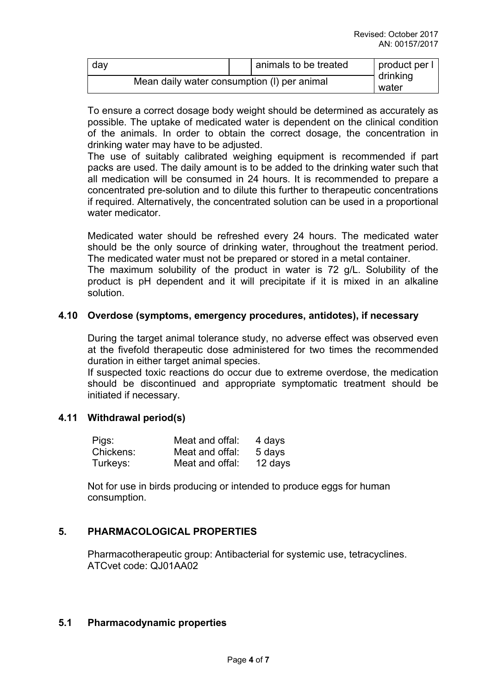| day                                         |  | animals to be treated | $ $ product per $  \cdot  $ |
|---------------------------------------------|--|-----------------------|-----------------------------|
| Mean daily water consumption (I) per animal |  |                       | drinking<br>water           |

To ensure a correct dosage body weight should be determined as accurately as possible. The uptake of medicated water is dependent on the clinical condition of the animals. In order to obtain the correct dosage, the concentration in drinking water may have to be adjusted.

The use of suitably calibrated weighing equipment is recommended if part packs are used. The daily amount is to be added to the drinking water such that all medication will be consumed in 24 hours. It is recommended to prepare a concentrated pre-solution and to dilute this further to therapeutic concentrations if required. Alternatively, the concentrated solution can be used in a proportional water medicator.

Medicated water should be refreshed every 24 hours. The medicated water should be the only source of drinking water, throughout the treatment period. The medicated water must not be prepared or stored in a metal container.

The maximum solubility of the product in water is 72 g/L. Solubility of the product is pH dependent and it will precipitate if it is mixed in an alkaline solution.

### **4.10 Overdose (symptoms, emergency procedures, antidotes), if necessary**

During the target animal tolerance study, no adverse effect was observed even at the fivefold therapeutic dose administered for two times the recommended duration in either target animal species.

If suspected toxic reactions do occur due to extreme overdose, the medication should be discontinued and appropriate symptomatic treatment should be initiated if necessary.

## **4.11 Withdrawal period(s)**

| Pigs:     | Meat and offal: | 4 days  |
|-----------|-----------------|---------|
| Chickens: | Meat and offal: | 5 days  |
| Turkeys:  | Meat and offal: | 12 days |

Not for use in birds producing or intended to produce eggs for human consumption.

### **5. PHARMACOLOGICAL PROPERTIES**

Pharmacotherapeutic group: Antibacterial for systemic use, tetracyclines. ATCvet code: QJ01AA02

#### **5.1 Pharmacodynamic properties**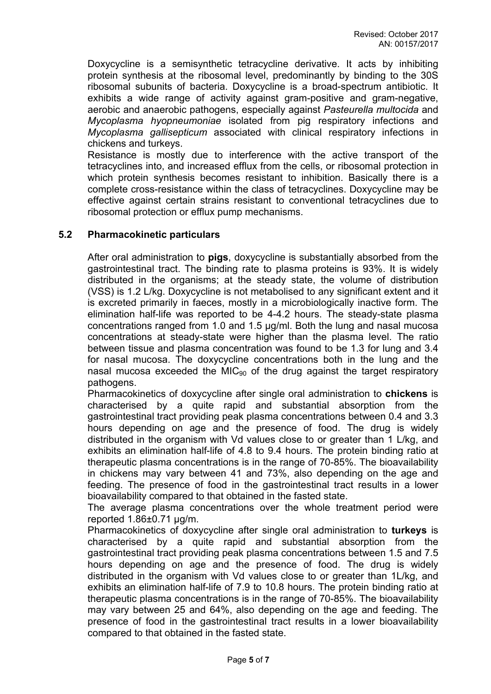Doxycycline is a semisynthetic tetracycline derivative. It acts by inhibiting protein synthesis at the ribosomal level, predominantly by binding to the 30S ribosomal subunits of bacteria. Doxycycline is a broad-spectrum antibiotic. It exhibits a wide range of activity against gram-positive and gram-negative, aerobic and anaerobic pathogens, especially against *Pasteurella multocida* and *Mycoplasma hyopneumoniae* isolated from pig respiratory infections and *Mycoplasma gallisepticum* associated with clinical respiratory infections in chickens and turkeys.

Resistance is mostly due to interference with the active transport of the tetracyclines into, and increased efflux from the cells, or ribosomal protection in which protein synthesis becomes resistant to inhibition. Basically there is a complete cross-resistance within the class of tetracyclines. Doxycycline may be effective against certain strains resistant to conventional tetracyclines due to ribosomal protection or efflux pump mechanisms.

### **5.2 Pharmacokinetic particulars**

After oral administration to **pigs**, doxycycline is substantially absorbed from the gastrointestinal tract. The binding rate to plasma proteins is 93%. It is widely distributed in the organisms; at the steady state, the volume of distribution (VSS) is 1.2 L/kg. Doxycycline is not metabolised to any significant extent and it is excreted primarily in faeces, mostly in a microbiologically inactive form. The elimination half-life was reported to be 4-4.2 hours. The steady-state plasma concentrations ranged from 1.0 and 1.5 µg/ml. Both the lung and nasal mucosa concentrations at steady-state were higher than the plasma level. The ratio between tissue and plasma concentration was found to be 1.3 for lung and 3.4 for nasal mucosa. The doxycycline concentrations both in the lung and the nasal mucosa exceeded the MIC $_{90}$  of the drug against the target respiratory pathogens.

Pharmacokinetics of doxycycline after single oral administration to **chickens** is characterised by a quite rapid and substantial absorption from the gastrointestinal tract providing peak plasma concentrations between 0.4 and 3.3 hours depending on age and the presence of food. The drug is widely distributed in the organism with Vd values close to or greater than 1 L/kg, and exhibits an elimination half-life of 4.8 to 9.4 hours. The protein binding ratio at therapeutic plasma concentrations is in the range of 70-85%. The bioavailability in chickens may vary between 41 and 73%, also depending on the age and feeding. The presence of food in the gastrointestinal tract results in a lower bioavailability compared to that obtained in the fasted state.

The average plasma concentrations over the whole treatment period were reported 1.86±0.71 µg/m.

Pharmacokinetics of doxycycline after single oral administration to **turkeys** is characterised by a quite rapid and substantial absorption from the gastrointestinal tract providing peak plasma concentrations between 1.5 and 7.5 hours depending on age and the presence of food. The drug is widely distributed in the organism with Vd values close to or greater than 1L/kg, and exhibits an elimination half-life of 7.9 to 10.8 hours. The protein binding ratio at therapeutic plasma concentrations is in the range of 70-85%. The bioavailability may vary between 25 and 64%, also depending on the age and feeding. The presence of food in the gastrointestinal tract results in a lower bioavailability compared to that obtained in the fasted state.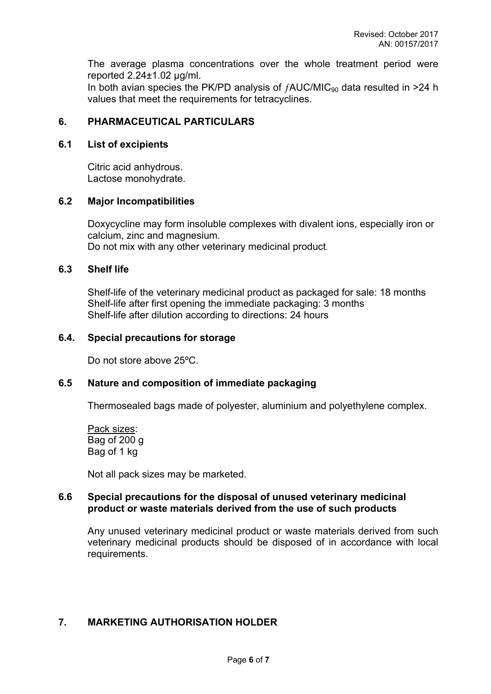The average plasma concentrations over the whole treatment period were reported 2.24±1.02 µg/ml.

In both avian species the PK/PD analysis of  $fAUC/MIC_{90}$  data resulted in >24 h values that meet the requirements for tetracyclines.

### **6. PHARMACEUTICAL PARTICULARS**

### **6.1 List of excipients**

Citric acid anhydrous. Lactose monohydrate.

### **6.2 Major Incompatibilities**

Doxycycline may form insoluble complexes with divalent ions, especially iron or calcium, zinc and magnesium. Do not mix with any other veterinary medicinal product.

### **6.3 Shelf life**

Shelf-life of the veterinary medicinal product as packaged for sale: 18 months Shelf-life after first opening the immediate packaging: 3 months Shelf-life after dilution according to directions: 24 hours

### **6.4. Special precautions for storage**

Do not store above 25ºC.

### **6.5 Nature and composition of immediate packaging**

Thermosealed bags made of polyester, aluminium and polyethylene complex.

Pack sizes: Bag of 200 g Bag of 1 kg

Not all pack sizes may be marketed.

### **6.6 Special precautions for the disposal of unused veterinary medicinal product or waste materials derived from the use of such products**

Any unused veterinary medicinal product or waste materials derived from such veterinary medicinal products should be disposed of in accordance with local requirements.

#### **7. MARKETING AUTHORISATION HOLDER**